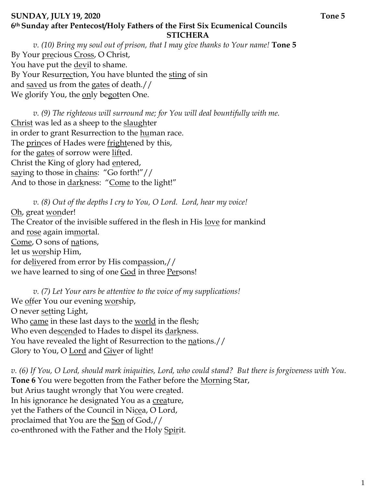### **SUNDAY, JULY 19, 2020** Tone 5 **6th Sunday after Pentecost/Holy Fathers of the First Six Ecumenical Councils STICHERA**

*v. (10) Bring my soul out of prison, that I may give thanks to Your name!* **Tone 5**  By Your precious Cross, O Christ, You have put the devil to shame. By Your Resurrection, You have blunted the sting of sin and saved us from the gates of death.// We glorify You, the only begotten One.

*v.* (9) The righteous will surround me; for You will deal bountifully with me. Christ was led as a sheep to the slaughter in order to grant Resurrection to the human race. The princes of Hades were frightened by this, for the gates of sorrow were lifted. Christ the King of glory had entered, saying to those in chains: "Go forth!"// And to those in darkness: "Come to the light!"

*v. (8) Out of the depths I cry to You, O Lord. Lord, hear my voice!*  Oh, great wonder! The Creator of the invisible suffered in the flesh in His <u>love</u> for mankind and rose again immortal. Come, O sons of nations, let us worship Him, for delivered from error by His compassion,// we have learned to sing of one **God** in three **Persons!** 

*v. (7) Let Your ears be attentive to the voice of my supplications!* We offer You our evening worship, O never setting Light, Who came in these last days to the world in the flesh; Who even descended to Hades to dispel its darkness. You have revealed the light of Resurrection to the <u>nations.</u>// Glory to You, O <u>Lord</u> and Giver of light!

*v. (6) If You, O Lord, should mark iniquities, Lord, who could stand? But there is forgiveness with You.*  **Tone 6** You were begotten from the Father before the Morning Star, but Arius taught wrongly that You were created. In his ignorance he designated You as a creature, yet the Fathers of the Council in Nicea, O Lord, proclaimed that You are the <u>Son</u> of God,// co-enthroned with the Father and the Holy Spirit.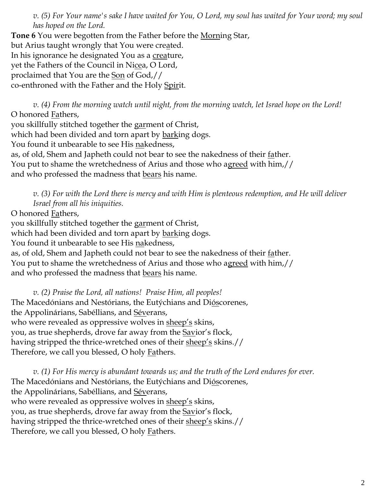*v. (5) For Your name's sake I have waited for You, O Lord, my soul has waited for Your word; my soul has hoped on the Lord.* 

**Tone 6** You were begotten from the Father before the Morning Star, but Arius taught wrongly that You were created. In his ignorance he designated You as a creature, yet the Fathers of the Council in Nicea, O Lord, proclaimed that You are the Son of God,// co-enthroned with the Father and the Holy Spirit.

*v. (4) From the morning watch until night, from the morning watch, let Israel hope on the Lord!* O honored Fathers,

you skillfully stitched together the garment of Christ, which had been divided and torn apart by barking dogs. You found it unbearable to see His nakedness, as, of old, Shem and Japheth could not bear to see the nakedness of their <u>fa</u>ther. You put to shame the wretchedness of Arius and those who agreed with him,// and who professed the madness that bears his name.

*v. (3) For with the Lord there is mercy and with Him is plenteous redemption, and He will deliver Israel from all his iniquities.*

O honored Fathers,

you skillfully stitched together the garment of Christ,

which had been divided and torn apart by barking dogs.

You found it unbearable to see His nakedness,

as, of old, Shem and Japheth could not bear to see the nakedness of their <u>fa</u>ther.

You put to shame the wretchedness of Arius and those who agreed with him,//

and who professed the madness that <u>bears</u> his name.

*v. (2) Praise the Lord, all nations! Praise Him, all peoples!* The Macedónians and Nestórians, the Eutýchians and Dióscorenes, the Appolinárians, Sabéllians, and Séverans, who were revealed as oppressive wolves in sheep's skins, you, as true shepherds, drove far away from the **Savior's** flock, having stripped the thrice-wretched ones of their sheep's skins.// Therefore, we call you blessed, O holy **Fathers**.

*v. (1) For His mercy is abundant towards us; and the truth of the Lord endures for ever.*  The Macedónians and Nestórians, the Eutýchians and Dióscorenes, the Appolinárians, Sabéllians, and Séverans, who were revealed as oppressive wolves in sheep's skins, you, as true shepherds, drove far away from the **Savior's** flock, having stripped the thrice-wretched ones of their sheep's skins.// Therefore, we call you blessed, O holy **Fathers**.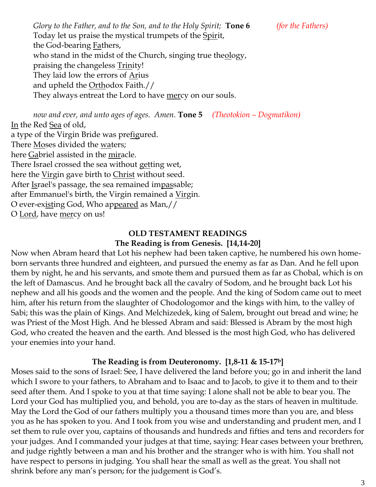*Glory to the Father, and to the Son, and to the Holy Spirit;* **Tone 6** *(for the Fathers)* Today let us praise the mystical trumpets of the Spirit, the God-bearing Fathers, who stand in the midst of the Church, singing true theology, praising the changeless Trinity! They laid low the errors of Arius and upheld the Orthodox Faith.// They always entreat the Lord to have mercy on our souls.

*now and ever, and unto ages of ages. Amen.* **Tone 5** *(Theotokion – Dogmatikon)* In the Red Sea of old, a type of the Virgin Bride was prefigured. There **Moses** divided the waters; here Gabriel assisted in the miracle. There Israel crossed the sea without getting wet, here the Virgin gave birth to Christ without seed. After <u>Is</u>rael's passage, the sea remained impassable; after Emmanuel's birth, the Virgin remained a Virgin. O ever-ex<u>ist</u>ing God, Who ap<u>peared</u> as Man,// O Lord, have mercy on us!

# **OLD TESTAMENT READINGS**

### **The Reading is from Genesis. [14,14-20]**

Now when Abram heard that Lot his nephew had been taken captive, he numbered his own homeborn servants three hundred and eighteen, and pursued the enemy as far as Dan. And he fell upon them by night, he and his servants, and smote them and pursued them as far as Chobal, which is on the left of Damascus. And he brought back all the cavalry of Sodom, and he brought back Lot his nephew and all his goods and the women and the people. And the king of Sodom came out to meet him, after his return from the slaughter of Chodologomor and the kings with him, to the valley of Sabi; this was the plain of Kings. And Melchizedek, king of Salem, brought out bread and wine; he was Priest of the Most High. And he blessed Abram and said: Blessed is Abram by the most high God, who created the heaven and the earth. And blessed is the most high God, who has delivered your enemies into your hand.

#### **The Reading is from Deuteronomy. [1,8-11 & 15-17b]**

Moses said to the sons of Israel: See, I have delivered the land before you; go in and inherit the land which I swore to your fathers, to Abraham and to Isaac and to Jacob, to give it to them and to their seed after them. And I spoke to you at that time saying: I alone shall not be able to bear you. The Lord your God has multiplied you, and behold, you are to-day as the stars of heaven in multitude. May the Lord the God of our fathers multiply you a thousand times more than you are, and bless you as he has spoken to you. And I took from you wise and understanding and prudent men, and I set them to rule over you, captains of thousands and hundreds and fifties and tens and recorders for your judges. And I commanded your judges at that time, saying: Hear cases between your brethren, and judge rightly between a man and his brother and the stranger who is with him. You shall not have respect to persons in judging. You shall hear the small as well as the great. You shall not shrink before any man's person; for the judgement is God's.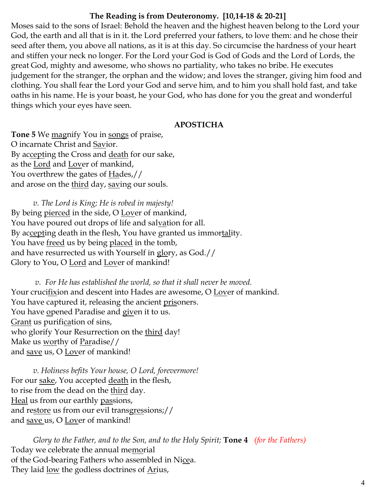# **The Reading is from Deuteronomy. [10,14-18 & 20-21]**

Moses said to the sons of Israel: Behold the heaven and the highest heaven belong to the Lord your God, the earth and all that is in it. the Lord preferred your fathers, to love them: and he chose their seed after them, you above all nations, as it is at this day. So circumcise the hardness of your heart and stiffen your neck no longer. For the Lord your God is God of Gods and the Lord of Lords, the great God, mighty and awesome, who shows no partiality, who takes no bribe. He executes judgement for the stranger, the orphan and the widow; and loves the stranger, giving him food and clothing. You shall fear the Lord your God and serve him, and to him you shall hold fast, and take oaths in his name. He is your boast, he your God, who has done for you the great and wonderful things which your eyes have seen.

# **APOSTICHA**

**Tone 5** We magnify You in songs of praise, O incarnate Christ and Savior. By accepting the Cross and death for our sake, as the Lord and Lover of mankind, You overthrew the gates of **Hades**,// and arose on the third day, saving our souls.

*v. The Lord is King; He is robed in majesty!*  By being pierced in the side, O Lover of mankind, You have poured out drops of life and salvation for all. By accepting death in the flesh, You have granted us immortality. You have <u>freed</u> us by being placed in the tomb, and have resurrected us with Yourself in glory, as God.// Glory to You, O Lord and Lover of mankind!

*v. For He has established the world, so that it shall never be moved.* Your crucifixion and descent into Hades are awesome, O Lover of mankind. You have captured it, releasing the ancient prisoners. You have opened Paradise and given it to us. Grant us purification of sins, who glorify Your Resurrection on the third day! Make us worthy of Paradise// and save us, O Lover of mankind!

*v. Holiness befits Your house, O Lord, forevermore!*  For our sake, You accepted death in the flesh, to rise from the dead on the third day. Heal us from our earthly passions, and restore us from our evil transgressions;// and save us, O Lover of mankind!

*Glory to the Father, and to the Son, and to the Holy Spirit;* **Tone 4** *(for the Fathers)* Today we celebrate the annual memorial of the God-bearing Fathers who assembled in Nicea. They laid <u>low</u> the godless doctrines of Arius,